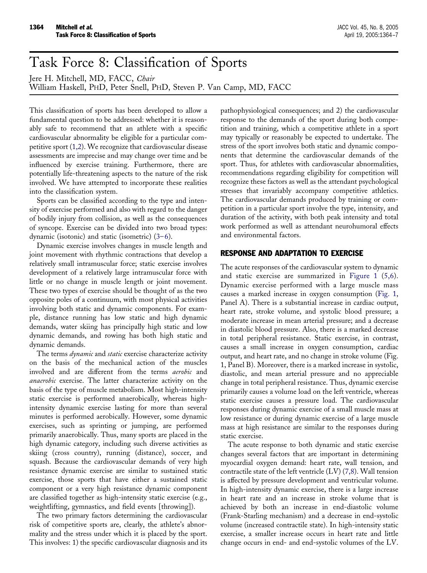# Task Force 8: Classification of Sports

Jere H. Mitchell, MD, FACC, *Chair* William Haskell, PHD, Peter Snell, PHD, Steven P. Van Camp, MD, FACC

This classification of sports has been developed to allow a fundamental question to be addressed: whether it is reasonably safe to recommend that an athlete with a specific cardiovascular abnormality be eligible for a particular competitive sport [\(1,2\)](#page-3-0). We recognize that cardiovascular disease assessments are imprecise and may change over time and be influenced by exercise training. Furthermore, there are potentially life-threatening aspects to the nature of the risk involved. We have attempted to incorporate these realities into the classification system.

Sports can be classified according to the type and intensity of exercise performed and also with regard to the danger of bodily injury from collision, as well as the consequences of syncope. Exercise can be divided into two broad types: dynamic (isotonic) and static (isometric) [\(3–6\)](#page-3-0).

Dynamic exercise involves changes in muscle length and joint movement with rhythmic contractions that develop a relatively small intramuscular force; static exercise involves development of a relatively large intramuscular force with little or no change in muscle length or joint movement. These two types of exercise should be thought of as the two opposite poles of a continuum, with most physical activities involving both static and dynamic components. For example, distance running has low static and high dynamic demands, water skiing has principally high static and low dynamic demands, and rowing has both high static and dynamic demands.

The terms *dynamic* and *static* exercise characterize activity on the basis of the mechanical action of the muscles involved and are different from the terms *aerobic* and *anaerobic* exercise. The latter characterize activity on the basis of the type of muscle metabolism. Most high-intensity static exercise is performed anaerobically, whereas highintensity dynamic exercise lasting for more than several minutes is performed aerobically. However, some dynamic exercises, such as sprinting or jumping, are performed primarily anaerobically. Thus, many sports are placed in the high dynamic category, including such diverse activities as skiing (cross country), running (distance), soccer, and squash. Because the cardiovascular demands of very high resistance dynamic exercise are similar to sustained static exercise, those sports that have either a sustained static component or a very high resistance dynamic component are classified together as high-intensity static exercise (e.g., weightlifting, gymnastics, and field events [throwing]).

The two primary factors determining the cardiovascular risk of competitive sports are, clearly, the athlete's abnormality and the stress under which it is placed by the sport. This involves: 1) the specific cardiovascular diagnosis and its

pathophysiological consequences; and 2) the cardiovascular response to the demands of the sport during both competition and training, which a competitive athlete in a sport may typically or reasonably be expected to undertake. The stress of the sport involves both static and dynamic components that determine the cardiovascular demands of the sport. Thus, for athletes with cardiovascular abnormalities, recommendations regarding eligibility for competition will recognize these factors as well as the attendant psychological stresses that invariably accompany competitive athletics. The cardiovascular demands produced by training or competition in a particular sport involve the type, intensity, and duration of the activity, with both peak intensity and total work performed as well as attendant neurohumoral effects and environmental factors.

## RESPONSE AND ADAPTATION TO EXERCISE

The acute responses of the cardiovascular system to dynamic and static exercise are summarized in [Figure 1](#page-1-0) [\(5,6\)](#page-3-0). Dynamic exercise performed with a large muscle mass causes a marked increase in oxygen consumption [\(Fig. 1,](#page-1-0) Panel A). There is a substantial increase in cardiac output, heart rate, stroke volume, and systolic blood pressure; a moderate increase in mean arterial pressure; and a decrease in diastolic blood pressure. Also, there is a marked decrease in total peripheral resistance. Static exercise, in contrast, causes a small increase in oxygen consumption, cardiac output, and heart rate, and no change in stroke volume (Fig. 1, Panel B). Moreover, there is a marked increase in systolic, diastolic, and mean arterial pressure and no appreciable change in total peripheral resistance. Thus, dynamic exercise primarily causes a volume load on the left ventricle, whereas static exercise causes a pressure load. The cardiovascular responses during dynamic exercise of a small muscle mass at low resistance or during dynamic exercise of a large muscle mass at high resistance are similar to the responses during static exercise.

The acute response to both dynamic and static exercise changes several factors that are important in determining myocardial oxygen demand: heart rate, wall tension, and contractile state of the left ventricle  $(LV)$  [\(7,8\)](#page-3-0). Wall tension is affected by pressure development and ventricular volume. In high-intensity dynamic exercise, there is a large increase in heart rate and an increase in stroke volume that is achieved by both an increase in end-diastolic volume (Frank-Starling mechanism) and a decrease in end-systolic volume (increased contractile state). In high-intensity static exercise, a smaller increase occurs in heart rate and little change occurs in end- and end-systolic volumes of the LV.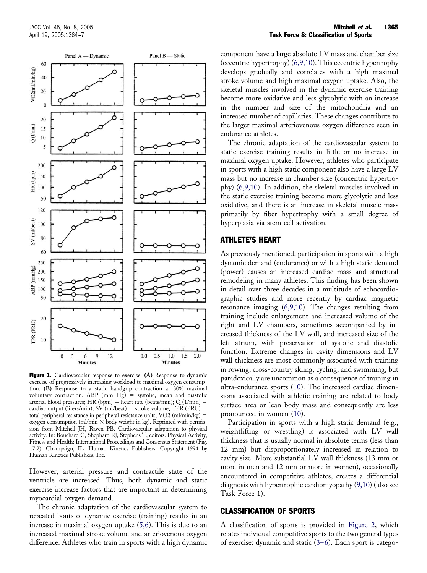<span id="page-1-0"></span>

Figure 1. Cardiovascular response to exercise. **(A)** Response to dynamic exercise of progressively increasing workload to maximal oxygen consumption. **(B)** Response to a static handgrip contraction at 30% maximal voluntary contraction. ABP (mm  $Hg$ ) = systolic, mean and diastolic arterial blood pressures; HR (bpm) = heart rate (beats/min);  $Q(1/\text{min})$  = cardiac output (liters/min);  $SV$  (ml/beat) = stroke volume; TPR (PRU) = total peripheral resistance in peripheral resistance units; VO2 (ml/min/kg) oxygen consumption (ml/min  $\times$  body weight in kg). Reprinted with permission from Mitchell JH, Raven PB. Cardiovascular adaptation to physical activity. In: Bouchard C, Shephard RJ, Stephens T, editors. Physical Activity, Fitness and Health: International Proceedings and Consensus Statement (Fig. 17.2). Champaign, IL: Human Kinetics Publishers. Copyright 1994 by Human Kinetics Publishers, Inc.

However, arterial pressure and contractile state of the ventricle are increased. Thus, both dynamic and static exercise increase factors that are important in determining myocardial oxygen demand.

The chronic adaptation of the cardiovascular system to repeated bouts of dynamic exercise (training) results in an increase in maximal oxygen uptake [\(5,6\)](#page-3-0). This is due to an increased maximal stroke volume and arteriovenous oxygen difference. Athletes who train in sports with a high dynamic component have a large absolute LV mass and chamber size (eccentric hypertrophy) [\(6,9,10\)](#page-3-0). This eccentric hypertrophy develops gradually and correlates with a high maximal stroke volume and high maximal oxygen uptake. Also, the skeletal muscles involved in the dynamic exercise training become more oxidative and less glycolytic with an increase in the number and size of the mitochondria and an increased number of capillaries. These changes contribute to the larger maximal arteriovenous oxygen difference seen in endurance athletes.

The chronic adaptation of the cardiovascular system to static exercise training results in little or no increase in maximal oxygen uptake. However, athletes who participate in sports with a high static component also have a large LV mass but no increase in chamber size (concentric hypertrophy) [\(6,9,10\)](#page-3-0). In addition, the skeletal muscles involved in the static exercise training become more glycolytic and less oxidative, and there is an increase in skeletal muscle mass primarily by fiber hypertrophy with a small degree of hyperplasia via stem cell activation.

#### ATHLETE'S HEART

As previously mentioned, participation in sports with a high dynamic demand (endurance) or with a high static demand (power) causes an increased cardiac mass and structural remodeling in many athletes. This finding has been shown in detail over three decades in a multitude of echocardiographic studies and more recently by cardiac magnetic resonance imaging [\(6,9,10\)](#page-3-0). The changes resulting from training include enlargement and increased volume of the right and LV chambers, sometimes accompanied by increased thickness of the LV wall, and increased size of the left atrium, with preservation of systolic and diastolic function. Extreme changes in cavity dimensions and LV wall thickness are most commonly associated with training in rowing, cross-country skiing, cycling, and swimming, but paradoxically are uncommon as a consequence of training in ultra-endurance sports [\(10\)](#page-3-0). The increased cardiac dimensions associated with athletic training are related to body surface area or lean body mass and consequently are less pronounced in women [\(10\)](#page-3-0).

Participation in sports with a high static demand (e.g., weightlifting or wrestling) is associated with LV wall thickness that is usually normal in absolute terms (less than 12 mm) but disproportionately increased in relation to cavity size. More substantial LV wall thickness (13 mm or more in men and 12 mm or more in women), occasionally encountered in competitive athletes, creates a differential diagnosis with hypertrophic cardiomyopathy [\(9,10\)](#page-3-0) (also see Task Force 1).

#### CLASSIFICATION OF SPORTS

A classification of sports is provided in [Figure 2,](#page-2-0) which relates individual competitive sports to the two general types of exercise: dynamic and static [\(3–6\)](#page-3-0). Each sport is catego-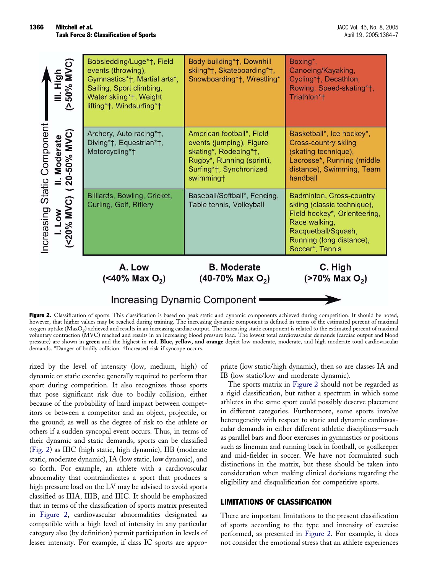<span id="page-2-0"></span>

|                                                             | A. Low<br>(<40% Max $O_2$ )                                                                                                                                       | <b>B. Moderate</b><br>$(40-70\%$ Max O <sub>2</sub> )                                                                                               | Racquetball/Squash,<br>Running (long distance),<br>Soccer*, Tennis<br>C. High<br>$(>70\%$ Max O <sub>2</sub> )                                          |
|-------------------------------------------------------------|-------------------------------------------------------------------------------------------------------------------------------------------------------------------|-----------------------------------------------------------------------------------------------------------------------------------------------------|---------------------------------------------------------------------------------------------------------------------------------------------------------|
| ncreasing Static<br>1. Low<br>(<20% MVC)                    | Billiards, Bowling, Cricket,<br>Curling, Golf, Riflery                                                                                                            | Baseball/Softball*, Fencing,<br>Table tennis, Volleyball                                                                                            | Badminton, Cross-country<br>skiing (classic technique),<br>Field hockey*, Orienteering,<br>Race walking,                                                |
| Component<br>Moderate<br>1-50% MVC)<br>$\overline{20}$<br>≓ | Archery, Auto racing*†,<br>Diving*†, Equestrian*†,<br>Motorcycling*†                                                                                              | American football*, Field<br>events (jumping), Figure<br>skating*, Rodeoing*†,<br>Rugby*, Running (sprint),<br>Surfing*†, Synchronized<br>swimming† | Basketball*, Ice hockey*,<br><b>Cross-country skiing</b><br>(skating technique),<br>Lacrosse*, Running (middle<br>distance), Swimming, Team<br>handball |
| III. High<br>-50% MVC)<br>$\lambda$                         | Bobsledding/Luge*†, Field<br>events (throwing),<br>Gymnastics*†, Martial arts*,<br>Sailing, Sport climbing,<br>Water skiing*†, Weight<br>lifting*†, Windsurfing*† | Body building*†, Downhill<br>skiing*†, Skateboarding*†,<br>Snowboarding*†, Wrestling*                                                               | Boxing*,<br>Canoeing/Kayaking,<br>Cycling*†, Decathlon,<br>Rowing, Speed-skating*†,<br>Triathlon*†                                                      |

Figure 2. Classification of sports. This classification is based on peak static and dynamic components achieved during competition. It should be noted, however, that higher values may be reached during training. The increasing dynamic component is defined in terms of the estimated percent of maximal oxygen uptake (MaxO<sub>2</sub>) achieved and results in an increasing cardiac output. The increasing static component is related to the estimated percent of maximal voluntary contraction (MVC) reached and results in an increasing blood pressure load. The lowest total cardiovascular demands (cardiac output and blood pressure) are shown in **green** and the highest in **red**. **Blue, yellow, and orange** depict low moderate, moderate, and high moderate total cardiovascular demands. \*Danger of bodily collision. †Increased risk if syncope occurs.

rized by the level of intensity (low, medium, high) of dynamic or static exercise generally required to perform that sport during competition. It also recognizes those sports that pose significant risk due to bodily collision, either because of the probability of hard impact between competitors or between a competitor and an object, projectile, or the ground; as well as the degree of risk to the athlete or others if a sudden syncopal event occurs. Thus, in terms of their dynamic and static demands, sports can be classified (Fig. 2) as IIIC (high static, high dynamic), IIB (moderate static, moderate dynamic), IA (low static, low dynamic), and so forth. For example, an athlete with a cardiovascular abnormality that contraindicates a sport that produces a high pressure load on the LV may be advised to avoid sports classified as IIIA, IIIB, and IIIC. It should be emphasized that in terms of the classification of sports matrix presented in Figure 2, cardiovascular abnormalities designated as compatible with a high level of intensity in any particular category also (by definition) permit participation in levels of lesser intensity. For example, if class IC sports are appropriate (low static/high dynamic), then so are classes IA and IB (low static/low and moderate dynamic).

The sports matrix in Figure 2 should not be regarded as a rigid classification, but rather a spectrum in which some athletes in the same sport could possibly deserve placement in different categories. Furthermore, some sports involve heterogeneity with respect to static and dynamic cardiovascular demands in either different athletic disciplines—such as parallel bars and floor exercises in gymnastics or positions such as lineman and running back in football, or goalkeeper and mid-fielder in soccer. We have not formulated such distinctions in the matrix, but these should be taken into consideration when making clinical decisions regarding the eligibility and disqualification for competitive sports.

## LIMITATIONS OF CLASSIFICATION

There are important limitations to the present classification of sports according to the type and intensity of exercise performed, as presented in Figure 2. For example, it does not consider the emotional stress that an athlete experiences